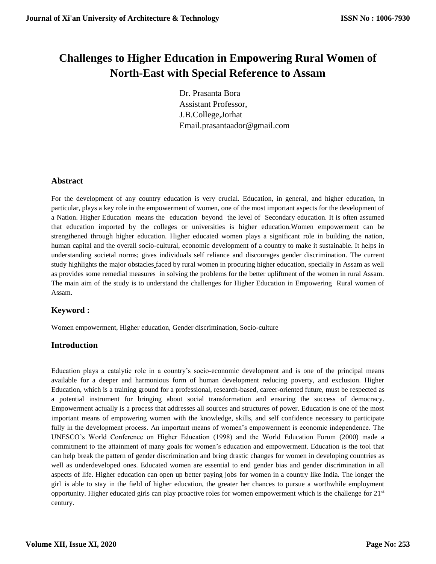# **Challenges to Higher Education in Empowering Rural Women of North-East with Special Reference to Assam**

Dr. Prasanta Bora Assistant Professor, J.B.College,Jorhat Email.prasantaador@gmail.com

# **Abstract**

For the development of any country education is very crucial. Education, in general, and higher education, in particular, plays a key role in the empowerment of women, one of the most important aspects for the development of a Nation. Higher Education means the education beyond the level of Secondary education. It is often assumed that education imported by the colleges or universities is higher education.Women empowerment can be strengthened through higher education. Higher educated women plays a significant role in building the nation, human capital and the overall socio-cultural, economic development of a country to make it sustainable. It helps in understanding societal norms; gives individuals self reliance and discourages gender discrimination. The current study highlights the major obstacles faced by rural women in procuring higher education, specially in Assam as well as provides some remedial measures in solving the problems for the better upliftment of the women in rural Assam. The main aim of the study is to understand the challenges for Higher Education in Empowering Rural women of Assam.

# **Keyword :**

Women empowerment, Higher education, Gender discrimination, Socio-culture

# **Introduction**

Education plays a catalytic role in a country's socio-economic development and is one of the principal means available for a deeper and harmonious form of human development reducing poverty, and exclusion. Higher Education, which is a training ground for a professional, research-based, career-oriented future, must be respected as a potential instrument for bringing about social transformation and ensuring the success of democracy. Empowerment actually is a process that addresses all sources and structures of power. Education is one of the most important means of empowering women with the knowledge, skills, and self confidence necessary to participate fully in the development process. An important means of women's empowerment is economic independence. The UNESCO's World Conference on Higher Education (1998) and the World Education Forum (2000) made a commitment to the attainment of many goals for women's education and empowerment. Education is the tool that can help break the pattern of gender discrimination and bring drastic changes for women in developing countries as well as underdeveloped ones. Educated women are essential to end gender bias and gender discrimination in all aspects of life. Higher education can open up better paying jobs for women in a country like India. The longer the girl is able to stay in the field of higher education, the greater her chances to pursue a worthwhile employment opportunity. Higher educated girls can play proactive roles for women empowerment which is the challenge for 21<sup>st</sup> century.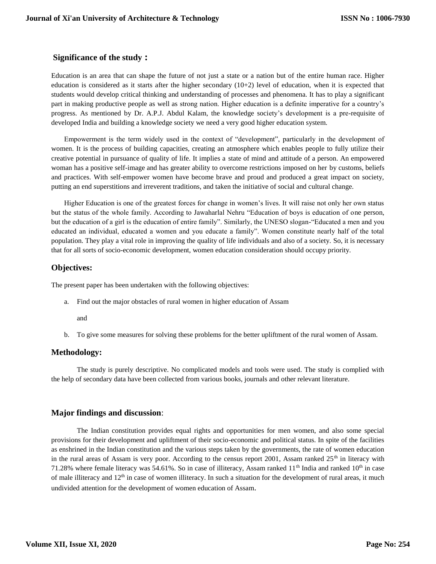# **Significance of the study :**

Education is an area that can shape the future of not just a state or a nation but of the entire human race. Higher education is considered as it starts after the higher secondary  $(10+2)$  level of education, when it is expected that students would develop critical thinking and understanding of processes and phenomena. It has to play a significant part in making productive people as well as strong nation. Higher education is a definite imperative for a country's progress. As mentioned by Dr. A.P.J. Abdul Kalam, the knowledge society's development is a pre-requisite of developed India and building a knowledge society we need a very good higher education system.

Empowerment is the term widely used in the context of "development", particularly in the development of women. It is the process of building capacities, creating an atmosphere which enables people to fully utilize their creative potential in pursuance of quality of life. It implies a state of mind and attitude of a person. An empowered woman has a positive self-image and has greater ability to overcome restrictions imposed on her by customs, beliefs and practices. With self-empower women have become brave and proud and produced a great impact on society, putting an end superstitions and irreverent traditions, and taken the initiative of social and cultural change.

Higher Education is one of the greatest forces for change in women's lives. It will raise not only her own status but the status of the whole family. According to Jawaharlal Nehru "Education of boys is education of one person, but the education of a girl is the education of entire family". Similarly, the UNESO slogan-"Educated a men and you educated an individual, educated a women and you educate a family". Women constitute nearly half of the total population. They play a vital role in improving the quality of life individuals and also of a society. So, it is necessary that for all sorts of socio-economic development, women education consideration should occupy priority.

# **Objectives:**

The present paper has been undertaken with the following objectives:

a. Find out the major obstacles of rural women in higher education of Assam

and

b. To give some measures for solving these problems for the better upliftment of the rural women of Assam.

# **Methodology:**

The study is purely descriptive. No complicated models and tools were used. The study is complied with the help of secondary data have been collected from various books, journals and other relevant literature.

# **Major findings and discussion**:

The Indian constitution provides equal rights and opportunities for men women, and also some special provisions for their development and upliftment of their socio-economic and political status. In spite of the facilities as enshrined in the Indian constitution and the various steps taken by the governments, the rate of women education in the rural areas of Assam is very poor. According to the census report 2001, Assam ranked 25<sup>th</sup> in literacy with 71.28% where female literacy was 54.61%. So in case of illiteracy, Assam ranked 11<sup>th</sup> India and ranked 10<sup>th</sup> in case of male illiteracy and 12<sup>th</sup> in case of women illiteracy. In such a situation for the development of rural areas, it much undivided attention for the development of women education of Assam.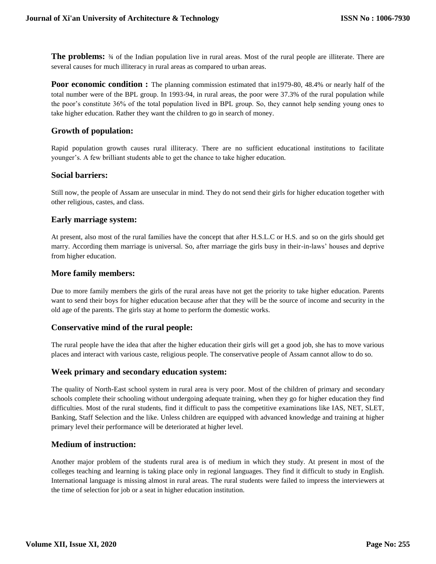**The problems:**  $\frac{3}{4}$  of the Indian population live in rural areas. Most of the rural people are illiterate. There are several causes for much illiteracy in rural areas as compared to urban areas.

**Poor economic condition :** The planning commission estimated that in1979-80, 48.4% or nearly half of the total number were of the BPL group. In 1993-94, in rural areas, the poor were 37.3% of the rural population while the poor's constitute 36% of the total population lived in BPL group. So, they cannot help sending young ones to take higher education. Rather they want the children to go in search of money.

# **Growth of population:**

Rapid population growth causes rural illiteracy. There are no sufficient educational institutions to facilitate younger's. A few brilliant students able to get the chance to take higher education.

#### **Social barriers:**

Still now, the people of Assam are unsecular in mind. They do not send their girls for higher education together with other religious, castes, and class.

#### **Early marriage system:**

At present, also most of the rural families have the concept that after H.S.L.C or H.S. and so on the girls should get marry. According them marriage is universal. So, after marriage the girls busy in their-in-laws' houses and deprive from higher education.

#### **More family members:**

Due to more family members the girls of the rural areas have not get the priority to take higher education. Parents want to send their boys for higher education because after that they will be the source of income and security in the old age of the parents. The girls stay at home to perform the domestic works.

# **Conservative mind of the rural people:**

The rural people have the idea that after the higher education their girls will get a good job, she has to move various places and interact with various caste, religious people. The conservative people of Assam cannot allow to do so.

#### **Week primary and secondary education system:**

The quality of North-East school system in rural area is very poor. Most of the children of primary and secondary schools complete their schooling without undergoing adequate training, when they go for higher education they find difficulties. Most of the rural students, find it difficult to pass the competitive examinations like IAS, NET, SLET, Banking, Staff Selection and the like. Unless children are equipped with advanced knowledge and training at higher primary level their performance will be deteriorated at higher level.

# **Medium of instruction:**

Another major problem of the students rural area is of medium in which they study. At present in most of the colleges teaching and learning is taking place only in regional languages. They find it difficult to study in English. International language is missing almost in rural areas. The rural students were failed to impress the interviewers at the time of selection for job or a seat in higher education institution.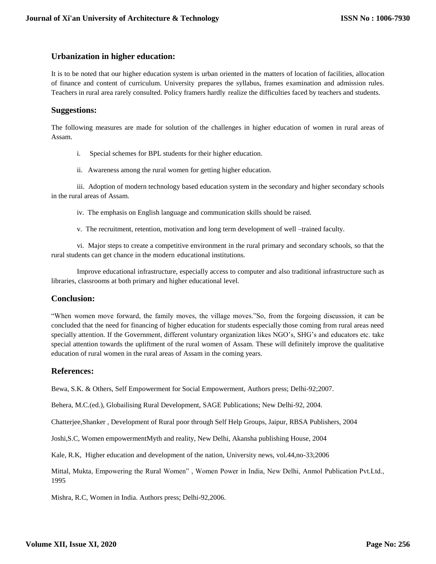# **Urbanization in higher education:**

It is to be noted that our higher education system is urban oriented in the matters of location of facilities, allocation of finance and content of curriculum. University prepares the syllabus, frames examination and admission rules. Teachers in rural area rarely consulted. Policy framers hardly realize the difficulties faced by teachers and students.

# **Suggestions:**

The following measures are made for solution of the challenges in higher education of women in rural areas of Assam.

- i. Special schemes for BPL students for their higher education.
- ii. Awareness among the rural women for getting higher education.

iii. Adoption of modern technology based education system in the secondary and higher secondary schools in the rural areas of Assam.

- iv. The emphasis on English language and communication skills should be raised.
- v. The recruitment, retention, motivation and long term development of well –trained faculty.

vi. Major steps to create a competitive environment in the rural primary and secondary schools, so that the rural students can get chance in the modern educational institutions.

Improve educational infrastructure, especially access to computer and also traditional infrastructure such as libraries, classrooms at both primary and higher educational level.

# **Conclusion:**

"When women move forward, the family moves, the village moves."So, from the forgoing discussion, it can be concluded that the need for financing of higher education for students especially those coming from rural areas need specially attention. If the Government, different voluntary organization likes NGO's, SHG's and educators etc. take special attention towards the upliftment of the rural women of Assam. These will definitely improve the qualitative education of rural women in the rural areas of Assam in the coming years.

# **References:**

Bewa, S.K. & Others, Self Empowerment for Social Empowerment, Authors press; Delhi-92;2007.

Behera, M.C.(ed.), Globailising Rural Development, SAGE Publications; New Delhi-92, 2004.

Chatterjee,Shanker , Development of Rural poor through Self Help Groups, Jaipur, RBSA Publishers, 2004

Joshi,S.C, Women empowermentMyth and reality, New Delhi, Akansha publishing House, 2004

Kale, R.K, Higher education and development of the nation, University news, vol.44,no-33;2006

Mittal, Mukta, Empowering the Rural Women" , Women Power in India, New Delhi, Anmol Publication Pvt.Ltd., 1995

Mishra, R.C, Women in India. Authors press; Delhi-92,2006.